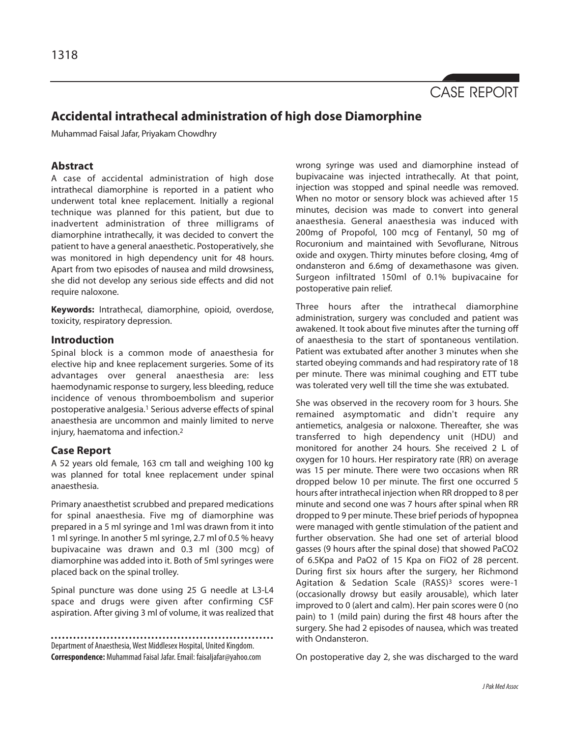

# **Accidental intrathecal administration of high dose Diamorphine**

Muhammad Faisal Jafar, Priyakam Chowdhry

## **Abstract**

A case of accidental administration of high dose intrathecal diamorphine is reported in a patient who underwent total knee replacement. Initially a regional technique was planned for this patient, but due to inadvertent administration of three milligrams of diamorphine intrathecally, it was decided to convert the patient to have a general anaesthetic. Postoperatively, she was monitored in high dependency unit for 48 hours. Apart from two episodes of nausea and mild drowsiness, she did not develop any serious side effects and did not require naloxone.

**Keywords:** Intrathecal, diamorphine, opioid, overdose, toxicity, respiratory depression.

## **Introduction**

Spinal block is a common mode of anaesthesia for elective hip and knee replacement surgeries. Some of its advantages over general anaesthesia are: less haemodynamic response to surgery, less bleeding, reduce incidence of venous thromboembolism and superior postoperative analgesia.<sup>1</sup> Serious adverse effects of spinal anaesthesia are uncommon and mainly limited to nerve injury, haematoma and infection.<sup>2</sup>

#### **Case Report**

A 52 years old female, 163 cm tall and weighing 100 kg was planned for total knee replacement under spinal anaesthesia.

Primary anaesthetist scrubbed and prepared medications for spinal anaesthesia. Five mg of diamorphine was prepared in a 5 ml syringe and 1ml was drawn from it into 1 ml syringe. In another 5 ml syringe, 2.7 ml of 0.5 % heavy bupivacaine was drawn and 0.3 ml (300 mcg) of diamorphine was added into it. Both of 5ml syringes were placed back on the spinal trolley.

Spinal puncture was done using 25 G needle at L3-L4 space and drugs were given after confirming CSF aspiration. After giving 3 ml of volume, it was realized that

Department of Anaesthesia, West Middlesex Hospital, United Kingdom. **Correspondence:** Muhammad Faisal Jafar. Email: faisaljafar@yahoo.com wrong syringe was used and diamorphine instead of bupivacaine was injected intrathecally. At that point, injection was stopped and spinal needle was removed. When no motor or sensory block was achieved after 15 minutes, decision was made to convert into general anaesthesia. General anaesthesia was induced with 200mg of Propofol, 100 mcg of Fentanyl, 50 mg of Rocuronium and maintained with Sevoflurane, Nitrous oxide and oxygen. Thirty minutes before closing, 4mg of ondansteron and 6.6mg of dexamethasone was given. Surgeon infiltrated 150ml of 0.1% bupivacaine for postoperative pain relief.

Three hours after the intrathecal diamorphine administration, surgery was concluded and patient was awakened. It took about five minutes after the turning off of anaesthesia to the start of spontaneous ventilation. Patient was extubated after another 3 minutes when she started obeying commands and had respiratory rate of 18 per minute. There was minimal coughing and ETT tube was tolerated very well till the time she was extubated.

She was observed in the recovery room for 3 hours. She remained asymptomatic and didn't require any antiemetics, analgesia or naloxone. Thereafter, she was transferred to high dependency unit (HDU) and monitored for another 24 hours. She received 2 L of oxygen for 10 hours. Her respiratory rate (RR) on average was 15 per minute. There were two occasions when RR dropped below 10 per minute. The first one occurred 5 hours after intrathecal injection when RR dropped to 8 per minute and second one was 7 hours after spinal when RR dropped to 9 per minute. These brief periods of hypopnea were managed with gentle stimulation of the patient and further observation. She had one set of arterial blood gasses (9 hours after the spinal dose) that showed PaCO2 of 6.5Kpa and PaO2 of 15 Kpa on FiO2 of 28 percent. During first six hours after the surgery, her Richmond Agitation & Sedation Scale (RASS)<sup>3</sup> scores were-1 (occasionally drowsy but easily arousable), which later improved to 0 (alert and calm). Her pain scores were 0 (no pain) to 1 (mild pain) during the first 48 hours after the surgery. She had 2 episodes of nausea, which was treated with Ondansteron.

On postoperative day 2, she was discharged to the ward